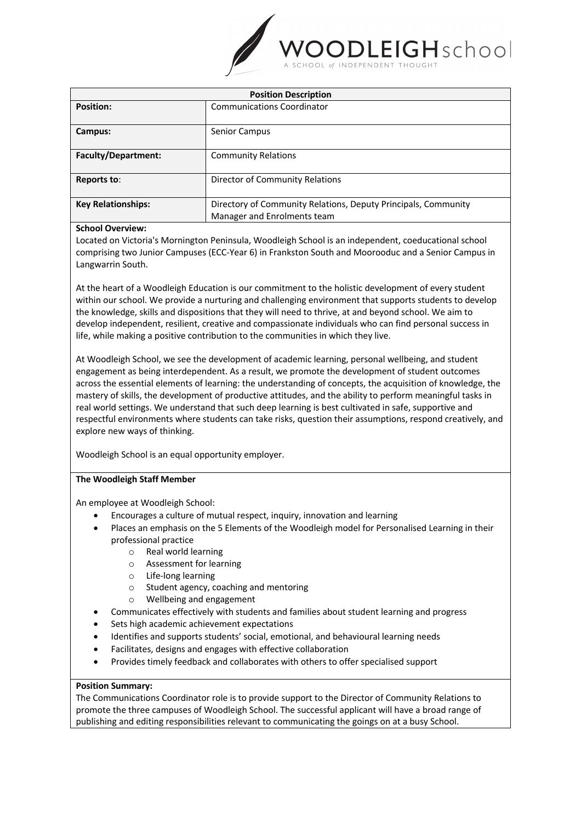

| <b>Position Description</b> |                                                                |
|-----------------------------|----------------------------------------------------------------|
| <b>Position:</b>            | <b>Communications Coordinator</b>                              |
| Campus:                     | Senior Campus                                                  |
| <b>Faculty/Department:</b>  | <b>Community Relations</b>                                     |
| Reports to:                 | Director of Community Relations                                |
| <b>Key Relationships:</b>   | Directory of Community Relations, Deputy Principals, Community |
|                             | Manager and Enrolments team                                    |
| .                           |                                                                |

## **School Overview:**

Located on Victoria's Mornington Peninsula, Woodleigh School is an independent, coeducational school comprising two Junior Campuses (ECC-Year 6) in Frankston South and Moorooduc and a Senior Campus in Langwarrin South.

At the heart of a Woodleigh Education is our commitment to the holistic development of every student within our school. We provide a nurturing and challenging environment that supports students to develop the knowledge, skills and dispositions that they will need to thrive, at and beyond school. We aim to develop independent, resilient, creative and compassionate individuals who can find personal success in life, while making a positive contribution to the communities in which they live.

At Woodleigh School, we see the development of academic learning, personal wellbeing, and student engagement as being interdependent. As a result, we promote the development of student outcomes across the essential elements of learning: the understanding of concepts, the acquisition of knowledge, the mastery of skills, the development of productive attitudes, and the ability to perform meaningful tasks in real world settings. We understand that such deep learning is best cultivated in safe, supportive and respectful environments where students can take risks, question their assumptions, respond creatively, and explore new ways of thinking.

Woodleigh School is an equal opportunity employer.

# **The Woodleigh Staff Member**

An employee at Woodleigh School:

- Encourages a culture of mutual respect, inquiry, innovation and learning
- Places an emphasis on the 5 Elements of the Woodleigh model for Personalised Learning in their professional practice
	- o Real world learning
	- o Assessment for learning
	- o Life-long learning
	- o Student agency, coaching and mentoring
	- o Wellbeing and engagement
- Communicates effectively with students and families about student learning and progress
- Sets high academic achievement expectations
- Identifies and supports students' social, emotional, and behavioural learning needs
- Facilitates, designs and engages with effective collaboration
- Provides timely feedback and collaborates with others to offer specialised support

### **Position Summary:**

The Communications Coordinator role is to provide support to the Director of Community Relations to promote the three campuses of Woodleigh School. The successful applicant will have a broad range of publishing and editing responsibilities relevant to communicating the goings on at a busy School.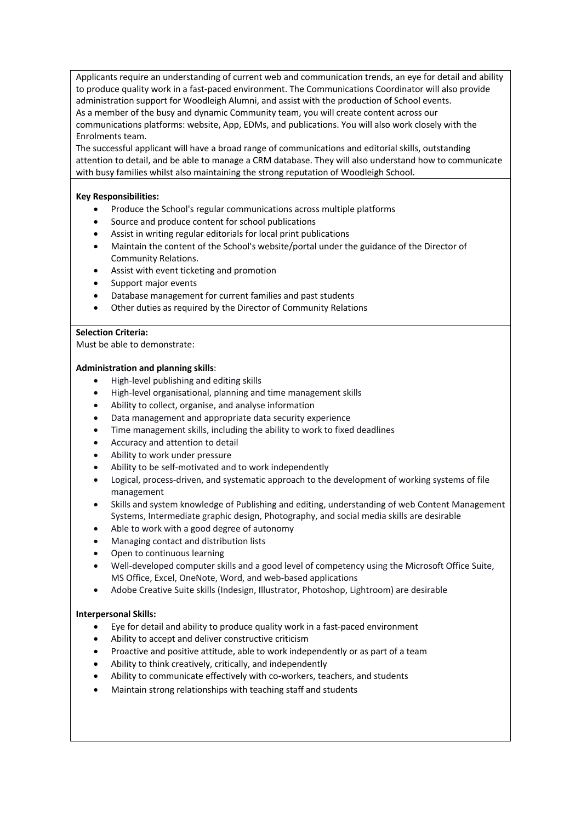Applicants require an understanding of current web and communication trends, an eye for detail and ability to produce quality work in a fast-paced environment. The Communications Coordinator will also provide administration support for Woodleigh Alumni, and assist with the production of School events. As a member of the busy and dynamic Community team, you will create content across our communications platforms: website, App, EDMs, and publications. You will also work closely with the Enrolments team.

The successful applicant will have a broad range of communications and editorial skills, outstanding attention to detail, and be able to manage a CRM database. They will also understand how to communicate with busy families whilst also maintaining the strong reputation of Woodleigh School.

## **Key Responsibilities:**

- Produce the School's regular communications across multiple platforms
- Source and produce content for school publications
- Assist in writing regular editorials for local print publications
- Maintain the content of the School's website/portal under the guidance of the Director of Community Relations.
- Assist with event ticketing and promotion
- Support major events
- Database management for current families and past students
- Other duties as required by the Director of Community Relations

### **Selection Criteria:**

Must be able to demonstrate:

# **Administration and planning skills**:

- High-level publishing and editing skills
- High-level organisational, planning and time management skills
- Ability to collect, organise, and analyse information
- Data management and appropriate data security experience
- Time management skills, including the ability to work to fixed deadlines
- Accuracy and attention to detail
- Ability to work under pressure
- Ability to be self-motivated and to work independently
- Logical, process-driven, and systematic approach to the development of working systems of file management
- Skills and system knowledge of Publishing and editing, understanding of web Content Management Systems, Intermediate graphic design, Photography, and social media skills are desirable
- Able to work with a good degree of autonomy
- Managing contact and distribution lists
- Open to continuous learning
- Well-developed computer skills and a good level of competency using the Microsoft Office Suite, MS Office, Excel, OneNote, Word, and web-based applications
- Adobe Creative Suite skills (Indesign, Illustrator, Photoshop, Lightroom) are desirable

### **Interpersonal Skills:**

- Eye for detail and ability to produce quality work in a fast-paced environment
- Ability to accept and deliver constructive criticism
- Proactive and positive attitude, able to work independently or as part of a team
- Ability to think creatively, critically, and independently
- Ability to communicate effectively with co-workers, teachers, and students
- Maintain strong relationships with teaching staff and students